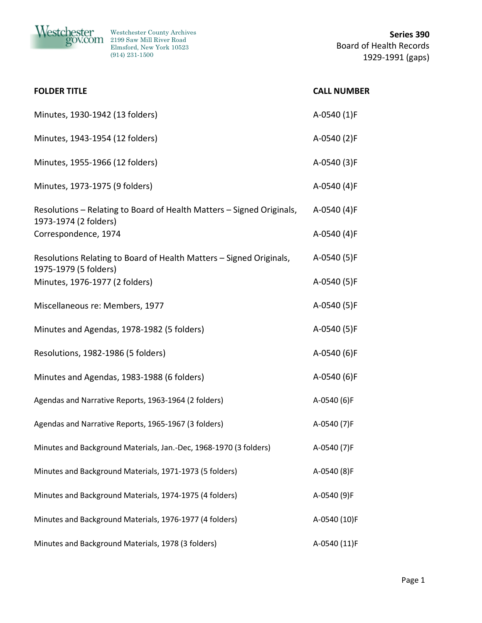

| Minutes, 1930-1942 (13 folders)                                       | A-0540 (1)F  |
|-----------------------------------------------------------------------|--------------|
| Minutes, 1943-1954 (12 folders)                                       | A-0540 (2)F  |
| Minutes, 1955-1966 (12 folders)                                       | A-0540 (3)F  |
| Minutes, 1973-1975 (9 folders)                                        | A-0540 (4)F  |
| Resolutions - Relating to Board of Health Matters - Signed Originals, | A-0540 (4)F  |
| 1973-1974 (2 folders)<br>Correspondence, 1974                         | A-0540 (4)F  |
| Resolutions Relating to Board of Health Matters - Signed Originals,   | A-0540 (5)F  |
| 1975-1979 (5 folders)<br>Minutes, 1976-1977 (2 folders)               | A-0540 (5)F  |
| Miscellaneous re: Members, 1977                                       | A-0540 (5)F  |
| Minutes and Agendas, 1978-1982 (5 folders)                            | A-0540 (5)F  |
| Resolutions, 1982-1986 (5 folders)                                    | A-0540 (6)F  |
| Minutes and Agendas, 1983-1988 (6 folders)                            | A-0540 (6)F  |
| Agendas and Narrative Reports, 1963-1964 (2 folders)                  | A-0540 (6)F  |
| Agendas and Narrative Reports, 1965-1967 (3 folders)                  | A-0540 (7)F  |
| Minutes and Background Materials, Jan.-Dec, 1968-1970 (3 folders)     | A-0540 (7)F  |
| Minutes and Background Materials, 1971-1973 (5 folders)               | A-0540 (8)F  |
| Minutes and Background Materials, 1974-1975 (4 folders)               | A-0540 (9)F  |
| Minutes and Background Materials, 1976-1977 (4 folders)               | A-0540 (10)F |
| Minutes and Background Materials, 1978 (3 folders)                    | A-0540 (11)F |

**FOLDER TITLE CALL NUMBER**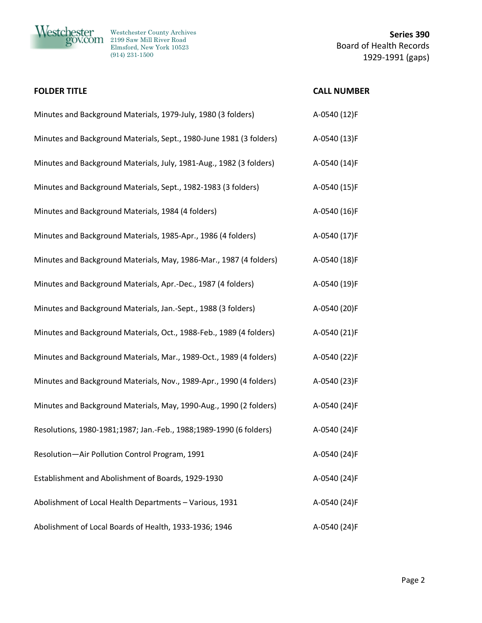

| <b>FOLDER TITLE</b>                                                 | <b>CALL NUMBER</b> |
|---------------------------------------------------------------------|--------------------|
| Minutes and Background Materials, 1979-July, 1980 (3 folders)       | A-0540 (12)F       |
| Minutes and Background Materials, Sept., 1980-June 1981 (3 folders) | A-0540 (13)F       |
| Minutes and Background Materials, July, 1981-Aug., 1982 (3 folders) | A-0540 (14)F       |
| Minutes and Background Materials, Sept., 1982-1983 (3 folders)      | A-0540 (15)F       |
| Minutes and Background Materials, 1984 (4 folders)                  | A-0540 (16)F       |
| Minutes and Background Materials, 1985-Apr., 1986 (4 folders)       | A-0540 (17)F       |
| Minutes and Background Materials, May, 1986-Mar., 1987 (4 folders)  | A-0540 (18)F       |
| Minutes and Background Materials, Apr.-Dec., 1987 (4 folders)       | A-0540 (19)F       |
| Minutes and Background Materials, Jan.-Sept., 1988 (3 folders)      | A-0540 (20)F       |
| Minutes and Background Materials, Oct., 1988-Feb., 1989 (4 folders) | A-0540 (21)F       |
| Minutes and Background Materials, Mar., 1989-Oct., 1989 (4 folders) | A-0540 (22)F       |
| Minutes and Background Materials, Nov., 1989-Apr., 1990 (4 folders) | A-0540 (23)F       |
| Minutes and Background Materials, May, 1990-Aug., 1990 (2 folders)  | A-0540 (24)F       |
| Resolutions, 1980-1981;1987; Jan.-Feb., 1988;1989-1990 (6 folders)  | A-0540 (24)F       |
| Resolution-Air Pollution Control Program, 1991                      | A-0540 (24)F       |
| Establishment and Abolishment of Boards, 1929-1930                  | A-0540 (24)F       |
| Abolishment of Local Health Departments - Various, 1931             | A-0540 (24)F       |
| Abolishment of Local Boards of Health, 1933-1936; 1946              | A-0540 (24)F       |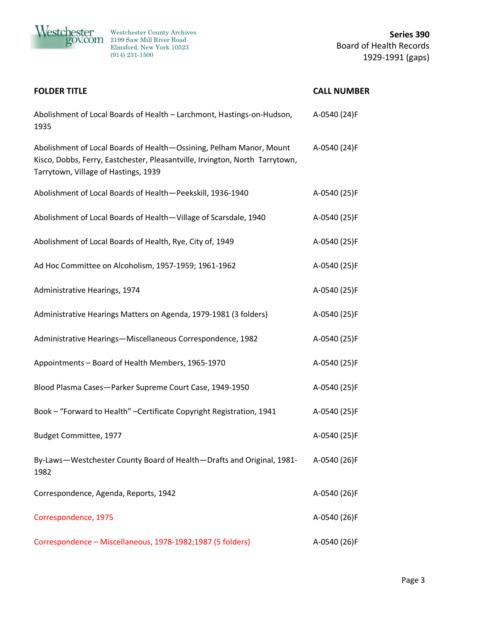

| <b>FOLDER TITLE</b>                                                                                                                                                                         | <b>CALL NUMBER</b> |
|---------------------------------------------------------------------------------------------------------------------------------------------------------------------------------------------|--------------------|
| Abolishment of Local Boards of Health - Larchmont, Hastings-on-Hudson,<br>1935                                                                                                              | A-0540 (24)F       |
| Abolishment of Local Boards of Health-Ossining, Pelham Manor, Mount<br>Kisco, Dobbs, Ferry, Eastchester, Pleasantville, Irvington, North Tarrytown,<br>Tarrytown, Village of Hastings, 1939 | A-0540 (24)F       |
| Abolishment of Local Boards of Health-Peekskill, 1936-1940                                                                                                                                  | A-0540 (25)F       |
| Abolishment of Local Boards of Health-Village of Scarsdale, 1940                                                                                                                            | A-0540 (25)F       |
| Abolishment of Local Boards of Health, Rye, City of, 1949                                                                                                                                   | A-0540 (25)F       |
| Ad Hoc Committee on Alcoholism, 1957-1959; 1961-1962                                                                                                                                        | A-0540 (25)F       |
| Administrative Hearings, 1974                                                                                                                                                               | A-0540 (25)F       |
| Administrative Hearings Matters on Agenda, 1979-1981 (3 folders)                                                                                                                            | A-0540 (25)F       |
| Administrative Hearings-Miscellaneous Correspondence, 1982                                                                                                                                  | A-0540 (25)F       |
| Appointments - Board of Health Members, 1965-1970                                                                                                                                           | A-0540 (25)F       |
| Blood Plasma Cases-Parker Supreme Court Case, 1949-1950                                                                                                                                     | A-0540 (25)F       |
| Book - "Forward to Health" - Certificate Copyright Registration, 1941                                                                                                                       | A-0540 (25)F       |
| Budget Committee, 1977                                                                                                                                                                      | A-0540 (25)F       |
| By-Laws-Westchester County Board of Health-Drafts and Original, 1981-<br>1982                                                                                                               | A-0540 (26)F       |
| Correspondence, Agenda, Reports, 1942                                                                                                                                                       | A-0540 (26)F       |
| Correspondence, 1975                                                                                                                                                                        | A-0540 (26)F       |
| Correspondence - Miscellaneous, 1978-1982;1987 (5 folders)                                                                                                                                  | A-0540 (26)F       |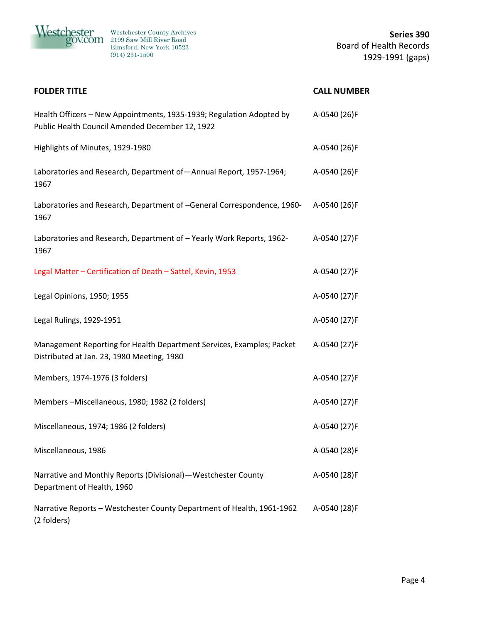

| <b>FOLDER TITLE</b>                                                                                                     | <b>CALL NUMBER</b> |
|-------------------------------------------------------------------------------------------------------------------------|--------------------|
| Health Officers - New Appointments, 1935-1939; Regulation Adopted by<br>Public Health Council Amended December 12, 1922 | A-0540 (26)F       |
| Highlights of Minutes, 1929-1980                                                                                        | A-0540 (26)F       |
| Laboratories and Research, Department of-Annual Report, 1957-1964;<br>1967                                              | A-0540 (26)F       |
| Laboratories and Research, Department of -General Correspondence, 1960-<br>1967                                         | A-0540 (26)F       |
| Laboratories and Research, Department of - Yearly Work Reports, 1962-<br>1967                                           | A-0540 (27)F       |
| Legal Matter - Certification of Death - Sattel, Kevin, 1953                                                             | A-0540 (27)F       |
| Legal Opinions, 1950; 1955                                                                                              | A-0540 (27)F       |
| Legal Rulings, 1929-1951                                                                                                | A-0540 (27)F       |
| Management Reporting for Health Department Services, Examples; Packet<br>Distributed at Jan. 23, 1980 Meeting, 1980     | A-0540 (27)F       |
| Members, 1974-1976 (3 folders)                                                                                          | A-0540 (27)F       |
| Members-Miscellaneous, 1980; 1982 (2 folders)                                                                           | A-0540 (27)F       |
| Miscellaneous, 1974; 1986 (2 folders)                                                                                   | A-0540 (27)F       |
| Miscellaneous, 1986                                                                                                     | A-0540 (28)F       |
| Narrative and Monthly Reports (Divisional) - Westchester County<br>Department of Health, 1960                           | A-0540 (28)F       |
| Narrative Reports - Westchester County Department of Health, 1961-1962<br>(2 folders)                                   | A-0540 (28)F       |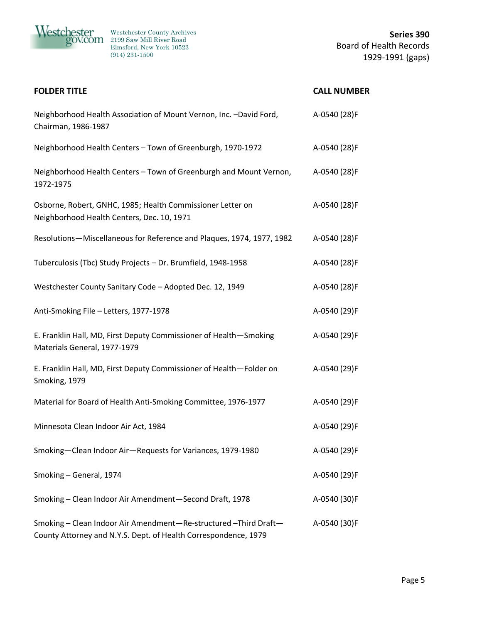

| <b>FOLDER TITLE</b>                                                                                                                | <b>CALL NUMBER</b> |
|------------------------------------------------------------------------------------------------------------------------------------|--------------------|
| Neighborhood Health Association of Mount Vernon, Inc. -David Ford,<br>Chairman, 1986-1987                                          | A-0540 (28)F       |
| Neighborhood Health Centers - Town of Greenburgh, 1970-1972                                                                        | A-0540 (28)F       |
| Neighborhood Health Centers - Town of Greenburgh and Mount Vernon,<br>1972-1975                                                    | A-0540 (28)F       |
| Osborne, Robert, GNHC, 1985; Health Commissioner Letter on<br>Neighborhood Health Centers, Dec. 10, 1971                           | A-0540 (28)F       |
| Resolutions-Miscellaneous for Reference and Plaques, 1974, 1977, 1982                                                              | A-0540 (28)F       |
| Tuberculosis (Tbc) Study Projects - Dr. Brumfield, 1948-1958                                                                       | A-0540 (28)F       |
| Westchester County Sanitary Code - Adopted Dec. 12, 1949                                                                           | A-0540 (28)F       |
| Anti-Smoking File - Letters, 1977-1978                                                                                             | A-0540 (29)F       |
| E. Franklin Hall, MD, First Deputy Commissioner of Health-Smoking<br>Materials General, 1977-1979                                  | A-0540 (29)F       |
| E. Franklin Hall, MD, First Deputy Commissioner of Health-Folder on<br>Smoking, 1979                                               | A-0540 (29)F       |
| Material for Board of Health Anti-Smoking Committee, 1976-1977                                                                     | A-0540 (29)F       |
| Minnesota Clean Indoor Air Act, 1984                                                                                               | A-0540 (29)F       |
| Smoking-Clean Indoor Air-Requests for Variances, 1979-1980                                                                         | A-0540 (29)F       |
| Smoking - General, 1974                                                                                                            | A-0540 (29)F       |
| Smoking - Clean Indoor Air Amendment-Second Draft, 1978                                                                            | A-0540 (30)F       |
| Smoking - Clean Indoor Air Amendment-Re-structured-Third Draft-<br>County Attorney and N.Y.S. Dept. of Health Correspondence, 1979 | A-0540 (30)F       |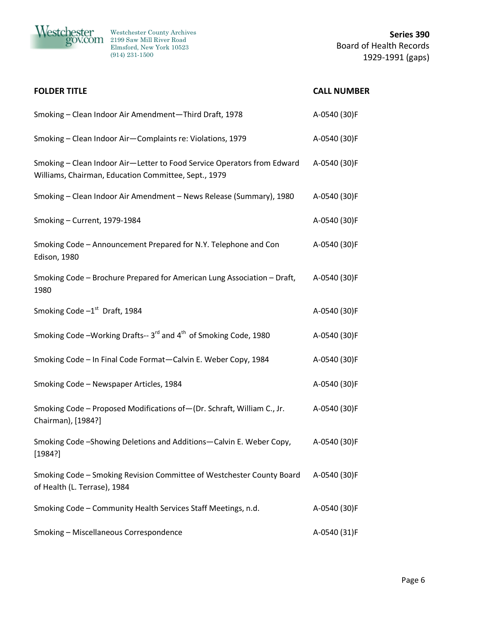

| <b>FOLDER TITLE</b>                                                                                                             | <b>CALL NUMBER</b> |
|---------------------------------------------------------------------------------------------------------------------------------|--------------------|
| Smoking - Clean Indoor Air Amendment-Third Draft, 1978                                                                          | A-0540 (30)F       |
| Smoking - Clean Indoor Air-Complaints re: Violations, 1979                                                                      | A-0540 (30)F       |
| Smoking - Clean Indoor Air-Letter to Food Service Operators from Edward<br>Williams, Chairman, Education Committee, Sept., 1979 | A-0540 (30)F       |
| Smoking - Clean Indoor Air Amendment - News Release (Summary), 1980                                                             | A-0540 (30)F       |
| Smoking - Current, 1979-1984                                                                                                    | A-0540 (30)F       |
| Smoking Code - Announcement Prepared for N.Y. Telephone and Con<br>Edison, 1980                                                 | A-0540 (30)F       |
| Smoking Code - Brochure Prepared for American Lung Association - Draft,<br>1980                                                 | A-0540 (30)F       |
| Smoking Code $-1st$ Draft, 1984                                                                                                 | A-0540 (30)F       |
| Smoking Code -Working Drafts-- 3 <sup>rd</sup> and 4 <sup>th</sup> of Smoking Code, 1980                                        | A-0540 (30)F       |
| Smoking Code - In Final Code Format-Calvin E. Weber Copy, 1984                                                                  | A-0540 (30)F       |
| Smoking Code - Newspaper Articles, 1984                                                                                         | A-0540 (30)F       |
| Smoking Code - Proposed Modifications of - (Dr. Schraft, William C., Jr.<br>Chairman), [1984?]                                  | A-0540 (30)F       |
| Smoking Code-Showing Deletions and Additions-Calvin E. Weber Copy,<br>[1984?]                                                   | A-0540 (30)F       |
| Smoking Code - Smoking Revision Committee of Westchester County Board<br>of Health (L. Terrase), 1984                           | A-0540 (30)F       |
| Smoking Code - Community Health Services Staff Meetings, n.d.                                                                   | A-0540 (30)F       |
| Smoking - Miscellaneous Correspondence                                                                                          | A-0540 (31)F       |